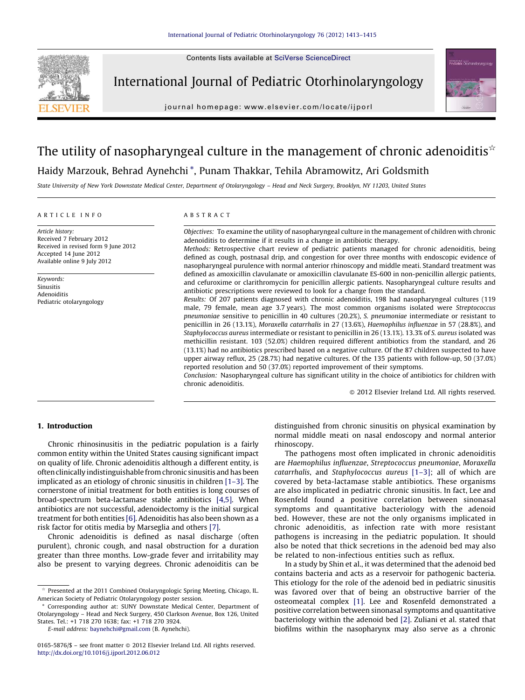Contents lists available at [SciVerse ScienceDirect](http://www.sciencedirect.com/science/journal/01655876)



International Journal of Pediatric Otorhinolaryngology

journal homepage: www.elsevier.com/locate/ijporl



# The utility of nasopharyngeal culture in the management of chronic adenoiditis $\dot{\mathbf{x}}$

Haidy Marzouk, Behrad Aynehchi \*, Punam Thakkar, Tehila Abramowitz, Ari Goldsmith

State University of New York Downstate Medical Center, Department of Otolaryngology – Head and Neck Surgery, Brooklyn, NY 11203, United States

#### ARTICLE INFO

Article history: Received 7 February 2012 Received in revised form 9 June 2012 Accepted 14 June 2012 Available online 9 July 2012

Keywords: Sinusitis Adenoiditis Pediatric otolaryngology

## ABSTRACT

Objectives: To examine the utility of nasopharyngeal culture in the management of children with chronic adenoiditis to determine if it results in a change in antibiotic therapy.

Methods: Retrospective chart review of pediatric patients managed for chronic adenoiditis, being defined as cough, postnasal drip, and congestion for over three months with endoscopic evidence of nasopharyngeal purulence with normal anterior rhinoscopy and middle meati. Standard treatment was defined as amoxicillin clavulanate or amoxicillin clavulanate ES-600 in non-penicillin allergic patients, and cefuroxime or clarithromycin for penicillin allergic patients. Nasopharyngeal culture results and antibiotic prescriptions were reviewed to look for a change from the standard.

Results: Of 207 patients diagnosed with chronic adenoiditis, 198 had nasopharyngeal cultures (119 male, 79 female, mean age 3.7 years). The most common organisms isolated were Streptococcus pneumoniae sensitive to penicillin in 40 cultures (20.2%), S. pneumoniae intermediate or resistant to penicillin in 26 (13.1%), Moraxella catarrhalis in 27 (13.6%), Haemophilus influenzae in 57 (28.8%), and Staphylococcus aureus intermediate or resistant to penicillin in 26 (13.1%). 13.3% of S. aureus isolated was methicillin resistant. 103 (52.0%) children required different antibiotics from the standard, and 26 (13.1%) had no antibiotics prescribed based on a negative culture. Of the 87 children suspected to have upper airway reflux, 25 (28.7%) had negative cultures. Of the 135 patients with follow-up, 50 (37.0%) reported resolution and 50 (37.0%) reported improvement of their symptoms.

Conclusion: Nasopharyngeal culture has significant utility in the choice of antibiotics for children with chronic adenoiditis.

 $\odot$  2012 Elsevier Ireland Ltd. All rights reserved.

# 1. Introduction

Chronic rhinosinusitis in the pediatric population is a fairly common entity within the United States causing significant impact on quality of life. Chronic adenoiditis although a different entity, is often clinically indistinguishable from chronic sinusitis and has been implicated as an etiology of chronic sinusitis in children [\[1–3\].](#page-2-0) The cornerstone of initial treatment for both entities is long courses of broad-spectrum beta-lactamase stable antibiotics [\[4,5\]](#page-2-0). When antibiotics are not successful, adenoidectomy is the initial surgical treatment for both entities [\[6\].](#page-2-0) Adenoiditis has also been shown as a risk factor for otitis media by Marseglia and others [\[7\]](#page-2-0).

Chronic adenoiditis is defined as nasal discharge (often purulent), chronic cough, and nasal obstruction for a duration greater than three months. Low-grade fever and irritability may also be present to varying degrees. Chronic adenoiditis can be

E-mail address: [baynehchi@gmail.com](mailto:baynehchi@gmail.com) (B. Aynehchi).

distinguished from chronic sinusitis on physical examination by normal middle meati on nasal endoscopy and normal anterior rhinoscopy.

The pathogens most often implicated in chronic adenoiditis are Haemophilus influenzae, Streptococcus pneumoniae, Moraxella catarrhalis, and Staphylococcus aureus [\[1–3\]](#page-2-0); all of which are covered by beta-lactamase stable antibiotics. These organisms are also implicated in pediatric chronic sinusitis. In fact, Lee and Rosenfeld found a positive correlation between sinonasal symptoms and quantitative bacteriology with the adenoid bed. However, these are not the only organisms implicated in chronic adenoiditis, as infection rate with more resistant pathogens is increasing in the pediatric population. It should also be noted that thick secretions in the adenoid bed may also be related to non-infectious entities such as reflux.

In a study by Shin et al., it was determined that the adenoid bed contains bacteria and acts as a reservoir for pathogenic bacteria. This etiology for the role of the adenoid bed in pediatric sinusitis was favored over that of being an obstructive barrier of the osteomeatal complex [\[1\]](#page-2-0). Lee and Rosenfeld demonstrated a positive correlation between sinonasal symptoms and quantitative bacteriology within the adenoid bed [\[2\]](#page-2-0). Zuliani et al. stated that biofilms within the nasopharynx may also serve as a chronic

 $\overrightarrow{ }$  Presented at the 2011 Combined Otolaryngologic Spring Meeting, Chicago, IL. American Society of Pediatric Otolaryngology poster session.

Corresponding author at: SUNY Downstate Medical Center, Department of Otolaryngology – Head and Neck Surgery, 450 Clarkson Avenue, Box 126, United States. Tel.: +1 718 270 1638; fax: +1 718 270 3924.

<sup>0165-5876/\$ –</sup> see front matter  $\odot$  2012 Elsevier Ireland Ltd. All rights reserved. <http://dx.doi.org/10.1016/j.ijporl.2012.06.012>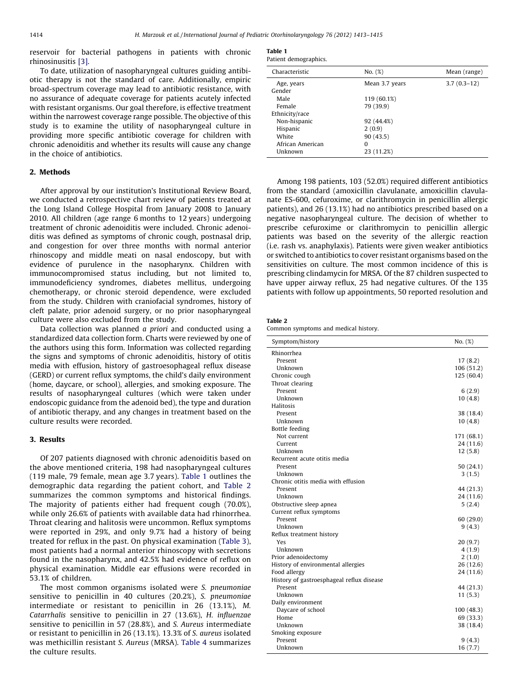reservoir for bacterial pathogens in patients with chronic rhinosinusitis [\[3\].](#page-2-0)

To date, utilization of nasopharyngeal cultures guiding antibiotic therapy is not the standard of care. Additionally, empiric broad-spectrum coverage may lead to antibiotic resistance, with no assurance of adequate coverage for patients acutely infected with resistant organisms. Our goal therefore, is effective treatment within the narrowest coverage range possible. The objective of this study is to examine the utility of nasopharyngeal culture in providing more specific antibiotic coverage for children with chronic adenoiditis and whether its results will cause any change in the choice of antibiotics.

## 2. Methods

After approval by our institution's Institutional Review Board, we conducted a retrospective chart review of patients treated at the Long Island College Hospital from January 2008 to January 2010. All children (age range 6 months to 12 years) undergoing treatment of chronic adenoiditis were included. Chronic adenoiditis was defined as symptoms of chronic cough, postnasal drip, and congestion for over three months with normal anterior rhinoscopy and middle meati on nasal endoscopy, but with evidence of purulence in the nasopharynx. Children with immunocompromised status including, but not limited to, immunodeficiency syndromes, diabetes mellitus, undergoing chemotherapy, or chronic steroid dependence, were excluded from the study. Children with craniofacial syndromes, history of cleft palate, prior adenoid surgery, or no prior nasopharyngeal culture were also excluded from the study.

Data collection was planned a priori and conducted using a standardized data collection form. Charts were reviewed by one of the authors using this form. Information was collected regarding the signs and symptoms of chronic adenoiditis, history of otitis media with effusion, history of gastroesophageal reflux disease (GERD) or current reflux symptoms, the child's daily environment (home, daycare, or school), allergies, and smoking exposure. The results of nasopharyngeal cultures (which were taken under endoscopic guidance from the adenoid bed), the type and duration of antibiotic therapy, and any changes in treatment based on the culture results were recorded.

## 3. Results

Of 207 patients diagnosed with chronic adenoiditis based on the above mentioned criteria, 198 had nasopharyngeal cultures (119 male, 79 female, mean age 3.7 years). Table 1 outlines the demographic data regarding the patient cohort, and Table 2 summarizes the common symptoms and historical findings. The majority of patients either had frequent cough (70.0%), while only 26.6% of patients with available data had rhinorrhea. Throat clearing and halitosis were uncommon. Reflux symptoms were reported in 29%, and only 9.7% had a history of being treated for reflux in the past. On physical examination [\(Table 3\)](#page-2-0), most patients had a normal anterior rhinoscopy with secretions found in the nasopharynx, and 42.5% had evidence of reflux on physical examination. Middle ear effusions were recorded in 53.1% of children.

The most common organisms isolated were S. pneumoniae sensitive to penicillin in 40 cultures (20.2%), S. pneumoniae intermediate or resistant to penicillin in 26 (13.1%), M. Catarrhalis sensitive to penicillin in 27 (13.6%), H. influenzae sensitive to penicillin in 57 (28.8%), and S. Aureus intermediate or resistant to penicillin in 26 (13.1%). 13.3% of S. aureus isolated was methicillin resistant S. Aureus (MRSA). [Table 4](#page-2-0) summarizes the culture results.

| Table 1 |                       |
|---------|-----------------------|
|         | Patient demographics. |

| Characteristic   | No. (%)        | Mean (range)  |
|------------------|----------------|---------------|
| Age, years       | Mean 3.7 years | $3.7(0.3-12)$ |
| Gender           |                |               |
| Male             | 119 (60.1%)    |               |
| Female           | 79 (39.9)      |               |
| Ethnicity/race   |                |               |
| Non-hispanic     | 92 (44.4%)     |               |
| Hispanic         | 2(0.9)         |               |
| White            | 90(43.5)       |               |
| African American | 0              |               |
| Unknown          | 23 (11.2%)     |               |
|                  |                |               |

Among 198 patients, 103 (52.0%) required different antibiotics from the standard (amoxicillin clavulanate, amoxicillin clavulanate ES-600, cefuroxime, or clarithromycin in penicillin allergic patients), and 26 (13.1%) had no antibiotics prescribed based on a negative nasopharyngeal culture. The decision of whether to prescribe cefuroxime or clarithromycin to penicillin allergic patients was based on the severity of the allergic reaction (i.e. rash vs. anaphylaxis). Patients were given weaker antibiotics or switched to antibiotics to cover resistant organisms based on the sensitivities on culture. The most common incidence of this is prescribing clindamycin for MRSA. Of the 87 children suspected to have upper airway reflux, 25 had negative cultures. Of the 135 patients with follow up appointments, 50 reported resolution and

#### Table 2

Common symptoms and medical history.

| Symptom/history                           | No. (%)    |
|-------------------------------------------|------------|
| Rhinorrhea                                |            |
| Present                                   | 17(8.2)    |
| Unknown                                   | 106 (51.2) |
| Chronic cough                             | 125 (60.4) |
| Throat clearing                           |            |
| Present                                   | 6(2.9)     |
| Unknown                                   | 10(4.8)    |
| Halitosis                                 |            |
| Present                                   | 38 (18.4)  |
| Unknown                                   | 10(4.8)    |
| <b>Bottle feeding</b>                     |            |
| Not current                               | 171 (68.1) |
| Current                                   | 24 (11.6)  |
| Unknown                                   | 12(5.8)    |
| Recurrent acute otitis media              |            |
| Present                                   | 50 (24.1)  |
| Unknown                                   | 3(1.5)     |
| Chronic otitis media with effusion        |            |
| Present                                   | 44 (21.3)  |
| Unknown                                   | 24 (11.6)  |
| Obstructive sleep apnea                   | 5(2.4)     |
| Current reflux symptoms                   |            |
| Present                                   | 60 (29.0)  |
| Unknown                                   | 9(4.3)     |
| Reflux treatment history                  |            |
| Yes                                       | 20 (9.7)   |
| Unknown                                   | 4(1.9)     |
| Prior adenoidectomy                       | 2(1.0)     |
| History of environmental allergies        | 26 (12.6)  |
| Food allergy                              | 24 (11.6)  |
| History of gastroesphageal reflux disease |            |
| Present                                   | 44 (21.3)  |
| Unknown                                   | 11(5.3)    |
| Daily environment                         |            |
| Daycare of school                         | 100 (48.3) |
| Home                                      | 69 (33.3)  |
| Unknown                                   | 38 (18.4)  |
| Smoking exposure                          |            |
| Present                                   | 9 (4.3)    |
| Unknown                                   | 16 (7.7)   |